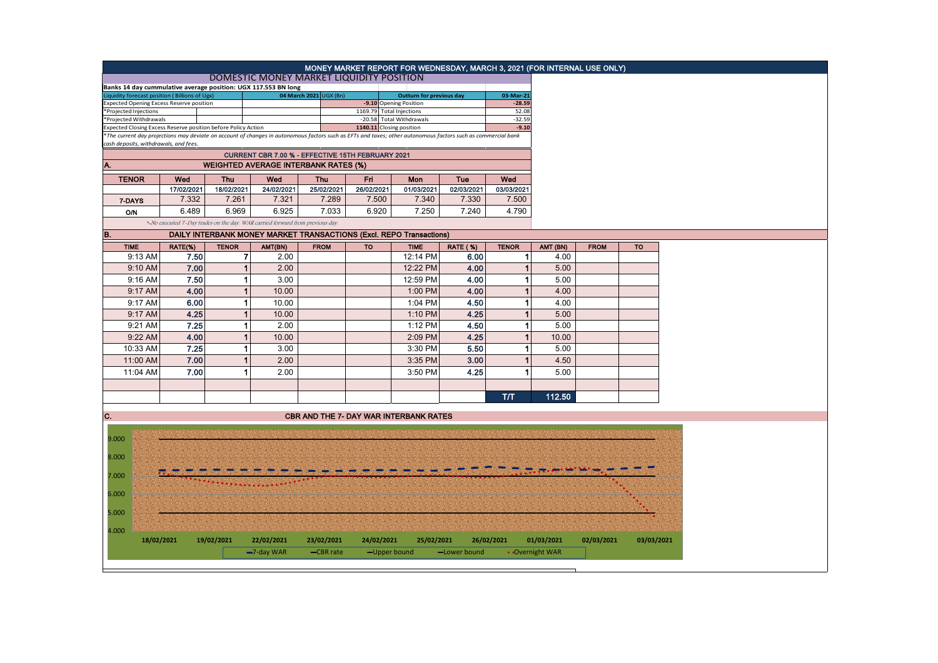|                                                                                                                                                                                                                                |                   |              |                                                                               |             |            | MONEY MARKET REPORT FOR WEDNESDAY, MARCH 3, 2021 (FOR INTERNAL USE ONLY) |                 |                       |                 |             |            |  |
|--------------------------------------------------------------------------------------------------------------------------------------------------------------------------------------------------------------------------------|-------------------|--------------|-------------------------------------------------------------------------------|-------------|------------|--------------------------------------------------------------------------|-----------------|-----------------------|-----------------|-------------|------------|--|
|                                                                                                                                                                                                                                |                   |              | DOMESTIC MONEY MARKET LIQUIDITY POSITION                                      |             |            |                                                                          |                 |                       |                 |             |            |  |
|                                                                                                                                                                                                                                |                   |              | Banks 14 day cummulative average position: UGX 117.553 BN long                |             |            |                                                                          |                 |                       |                 |             |            |  |
| Liquidity forecast position (Billions of Ugx)<br><b>Expected Opening Excess Reserve position</b>                                                                                                                               |                   |              | 04 March 2021 UGX (Bn)                                                        |             |            | <b>Outturn for previous day</b><br>-9.10 Opening Position                |                 | 03-Mar-21<br>$-28.59$ |                 |             |            |  |
| *Projected Injections                                                                                                                                                                                                          |                   |              |                                                                               |             |            | 1169.79 Total Injections                                                 |                 | 52.08                 |                 |             |            |  |
| *Projected Withdrawals                                                                                                                                                                                                         |                   |              |                                                                               |             |            | -20.58 Total Withdrawals                                                 |                 | $-32.59$              |                 |             |            |  |
| Expected Closing Excess Reserve position before Policy Action<br>*The current day projections may deviate on account of changes in autonomous factors such as EFTs and taxes; other autonomous factors such as commercial bank |                   |              |                                                                               |             |            | 1140.11 Closing position                                                 |                 | $-9.10$               |                 |             |            |  |
| cash deposits, withdrawals, and fees.                                                                                                                                                                                          |                   |              |                                                                               |             |            |                                                                          |                 |                       |                 |             |            |  |
|                                                                                                                                                                                                                                |                   |              |                                                                               |             |            |                                                                          |                 |                       |                 |             |            |  |
| CURRENT CBR 7.00 % - EFFECTIVE 15TH FEBRUARY 2021<br><b>WEIGHTED AVERAGE INTERBANK RATES (%)</b><br>А.                                                                                                                         |                   |              |                                                                               |             |            |                                                                          |                 |                       |                 |             |            |  |
| <b>TENOR</b>                                                                                                                                                                                                                   | Wed<br><b>Thu</b> |              | Wed                                                                           | <b>Thu</b>  | Fri        | <b>Mon</b>                                                               | Tue             | Wed                   |                 |             |            |  |
|                                                                                                                                                                                                                                | 17/02/2021        | 18/02/2021   | 24/02/2021                                                                    | 25/02/2021  | 26/02/2021 | 01/03/2021                                                               | 02/03/2021      | 03/03/2021            |                 |             |            |  |
| 7-DAYS                                                                                                                                                                                                                         | 7.332             | 7.261        | 7.321                                                                         | 7.289       | 7.500      | 7.340                                                                    | 7.330           | 7.500                 |                 |             |            |  |
| <b>O/N</b>                                                                                                                                                                                                                     | 6.489             | 6.969        | 6.925                                                                         | 7.033       | 6.920      | 7.250                                                                    | 7.240           | 4.790                 |                 |             |            |  |
|                                                                                                                                                                                                                                |                   |              | *-No executed 7-Day trades on the day. WAR carried forward from previous day. |             |            |                                                                          |                 |                       |                 |             |            |  |
| В.                                                                                                                                                                                                                             |                   |              |                                                                               |             |            | DAILY INTERBANK MONEY MARKET TRANSACTIONS (Excl. REPO Transactions)      |                 |                       |                 |             |            |  |
| <b>TIME</b>                                                                                                                                                                                                                    | RATE(%)           | <b>TENOR</b> | AMT(BN)                                                                       | <b>FROM</b> | <b>TO</b>  | <b>TIME</b>                                                              | <b>RATE (%)</b> | <b>TENOR</b>          | AMT (BN)        | <b>FROM</b> |            |  |
| 9:13 AM                                                                                                                                                                                                                        | 7.50              |              | 7<br>2.00                                                                     |             |            | 12:14 PM                                                                 | 6.00            | 1                     | 4.00            |             |            |  |
| 9:10 AM                                                                                                                                                                                                                        | 7.00              |              | $\mathbf{1}$<br>2.00                                                          |             |            | 12:22 PM                                                                 | 4.00            | $\overline{1}$        | 5.00            |             |            |  |
| 9:16 AM                                                                                                                                                                                                                        | 7.50              |              | $\mathbf{1}$<br>3.00                                                          |             |            | 12:59 PM                                                                 | 4.00            | 1                     | 5.00            |             |            |  |
|                                                                                                                                                                                                                                |                   |              |                                                                               |             |            |                                                                          |                 |                       |                 |             |            |  |
| 9:17 AM                                                                                                                                                                                                                        | 4.00              |              | 1 <sup>1</sup><br>10.00                                                       |             |            | 1:00 PM                                                                  | 4.00            | $\mathbf{1}$          | 4.00            |             |            |  |
| 9:17 AM                                                                                                                                                                                                                        | 6.00              |              | $\mathbf{1}$<br>10.00                                                         |             |            | 1:04 PM                                                                  | 4.50            | 1                     | 4.00            |             |            |  |
| 9:17 AM                                                                                                                                                                                                                        | 4.25              |              | 1 <sup>1</sup><br>10.00                                                       |             |            | 1:10 PM                                                                  | 4.25            | $\mathbf{1}$          | 5.00            |             |            |  |
| 9:21 AM                                                                                                                                                                                                                        | 7.25              |              | 2.00<br>1                                                                     |             |            | 1:12 PM                                                                  | 4.50            | 1                     | 5.00            |             |            |  |
| 9:22 AM                                                                                                                                                                                                                        | 4.00              |              | 1<br>10.00                                                                    |             |            | 2:09 PM                                                                  | 4.25            | 1                     | 10.00           |             |            |  |
| 10:33 AM                                                                                                                                                                                                                       | 7.25              |              | $\vert$<br>3.00                                                               |             |            | 3:30 PM                                                                  | 5.50            | 1                     | 5.00            |             |            |  |
| 11:00 AM                                                                                                                                                                                                                       | 7.00              |              | $\mathbf{1}$<br>2.00                                                          |             |            |                                                                          | 3.00            | $\mathbf{1}$          | 4.50            |             |            |  |
|                                                                                                                                                                                                                                |                   |              |                                                                               |             |            | 3:35 PM                                                                  |                 |                       |                 |             |            |  |
| 11:04 AM                                                                                                                                                                                                                       | 7.00              |              | 1<br>2.00                                                                     |             |            | 3:50 PM                                                                  | 4.25            | 1                     | 5.00            |             |            |  |
|                                                                                                                                                                                                                                |                   |              |                                                                               |             |            |                                                                          |                 |                       |                 |             |            |  |
|                                                                                                                                                                                                                                |                   |              |                                                                               |             |            |                                                                          |                 | T/T                   | 112.50          |             |            |  |
|                                                                                                                                                                                                                                |                   |              |                                                                               |             |            |                                                                          |                 |                       |                 |             |            |  |
| C.                                                                                                                                                                                                                             |                   |              |                                                                               |             |            | <b>CBR AND THE 7- DAY WAR INTERBANK RATES</b>                            |                 |                       |                 |             |            |  |
| 9.000                                                                                                                                                                                                                          |                   |              |                                                                               |             |            |                                                                          |                 |                       |                 |             |            |  |
|                                                                                                                                                                                                                                |                   |              |                                                                               |             |            |                                                                          |                 |                       |                 |             |            |  |
| 8.000                                                                                                                                                                                                                          |                   |              |                                                                               |             |            |                                                                          |                 |                       |                 |             |            |  |
| 7.000                                                                                                                                                                                                                          |                   |              |                                                                               |             |            |                                                                          |                 |                       |                 |             |            |  |
|                                                                                                                                                                                                                                |                   |              |                                                                               |             |            |                                                                          |                 |                       |                 |             |            |  |
| 6.000                                                                                                                                                                                                                          |                   |              |                                                                               |             |            |                                                                          |                 |                       |                 |             |            |  |
| 5.000                                                                                                                                                                                                                          |                   |              |                                                                               |             |            |                                                                          |                 |                       |                 |             |            |  |
|                                                                                                                                                                                                                                |                   |              |                                                                               |             |            |                                                                          |                 |                       |                 |             |            |  |
| 4.000                                                                                                                                                                                                                          | 18/02/2021        | 19/02/2021   | 22/02/2021                                                                    | 23/02/2021  | 24/02/2021 | 25/02/2021                                                               |                 | 26/02/2021            | 01/03/2021      | 02/03/2021  | 03/03/2021 |  |
|                                                                                                                                                                                                                                |                   |              | -7-day WAR                                                                    | -CBR rate   |            | -Upper bound                                                             | -Lower bound    |                       | • Overnight WAR |             |            |  |
|                                                                                                                                                                                                                                |                   |              |                                                                               |             |            |                                                                          |                 |                       |                 |             |            |  |
|                                                                                                                                                                                                                                |                   |              |                                                                               |             |            |                                                                          |                 |                       |                 |             |            |  |